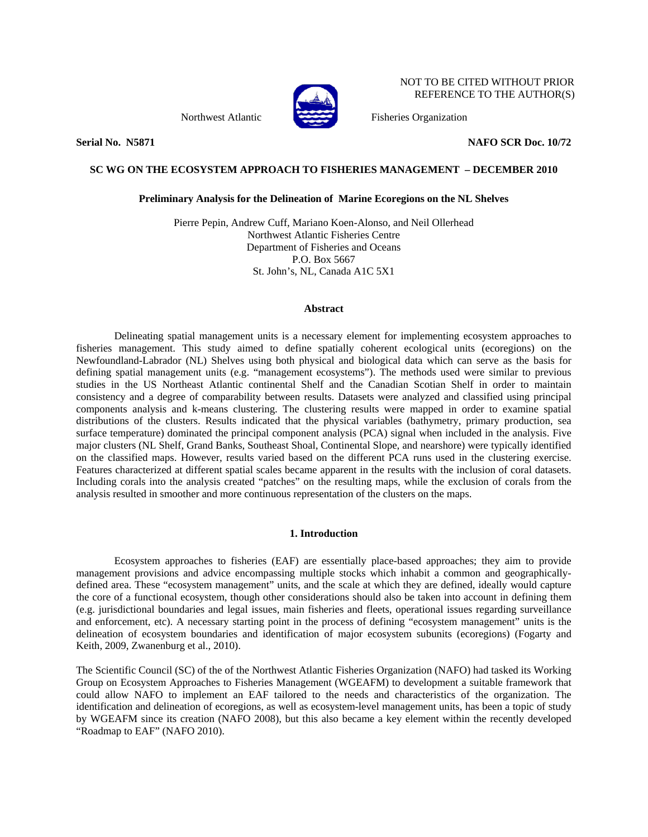

NOT TO BE CITED WITHOUT PRIOR REFERENCE TO THE AUTHOR(S)

Northwest Atlantic Fisheries Organization

**Serial No. N5871 NAFO SCR Doc. 10/72** 

## **SC WG ON THE ECOSYSTEM APPROACH TO FISHERIES MANAGEMENT – DECEMBER 2010**

## **Preliminary Analysis for the Delineation of Marine Ecoregions on the NL Shelves**

Pierre Pepin, Andrew Cuff, Mariano Koen-Alonso, and Neil Ollerhead Northwest Atlantic Fisheries Centre Department of Fisheries and Oceans P.O. Box 5667 St. John's, NL, Canada A1C 5X1

#### **Abstract**

Delineating spatial management units is a necessary element for implementing ecosystem approaches to fisheries management. This study aimed to define spatially coherent ecological units (ecoregions) on the Newfoundland-Labrador (NL) Shelves using both physical and biological data which can serve as the basis for defining spatial management units (e.g. "management ecosystems"). The methods used were similar to previous studies in the US Northeast Atlantic continental Shelf and the Canadian Scotian Shelf in order to maintain consistency and a degree of comparability between results. Datasets were analyzed and classified using principal components analysis and k-means clustering. The clustering results were mapped in order to examine spatial distributions of the clusters. Results indicated that the physical variables (bathymetry, primary production, sea surface temperature) dominated the principal component analysis (PCA) signal when included in the analysis. Five major clusters (NL Shelf, Grand Banks, Southeast Shoal, Continental Slope, and nearshore) were typically identified on the classified maps. However, results varied based on the different PCA runs used in the clustering exercise. Features characterized at different spatial scales became apparent in the results with the inclusion of coral datasets. Including corals into the analysis created "patches" on the resulting maps, while the exclusion of corals from the analysis resulted in smoother and more continuous representation of the clusters on the maps.

## **1. Introduction**

 Ecosystem approaches to fisheries (EAF) are essentially place-based approaches; they aim to provide management provisions and advice encompassing multiple stocks which inhabit a common and geographicallydefined area. These "ecosystem management" units, and the scale at which they are defined, ideally would capture the core of a functional ecosystem, though other considerations should also be taken into account in defining them (e.g. jurisdictional boundaries and legal issues, main fisheries and fleets, operational issues regarding surveillance and enforcement, etc). A necessary starting point in the process of defining "ecosystem management" units is the delineation of ecosystem boundaries and identification of major ecosystem subunits (ecoregions) (Fogarty and Keith, 2009, Zwanenburg et al., 2010).

The Scientific Council (SC) of the of the Northwest Atlantic Fisheries Organization (NAFO) had tasked its Working Group on Ecosystem Approaches to Fisheries Management (WGEAFM) to development a suitable framework that could allow NAFO to implement an EAF tailored to the needs and characteristics of the organization. The identification and delineation of ecoregions, as well as ecosystem-level management units, has been a topic of study by WGEAFM since its creation (NAFO 2008), but this also became a key element within the recently developed "Roadmap to EAF" (NAFO 2010).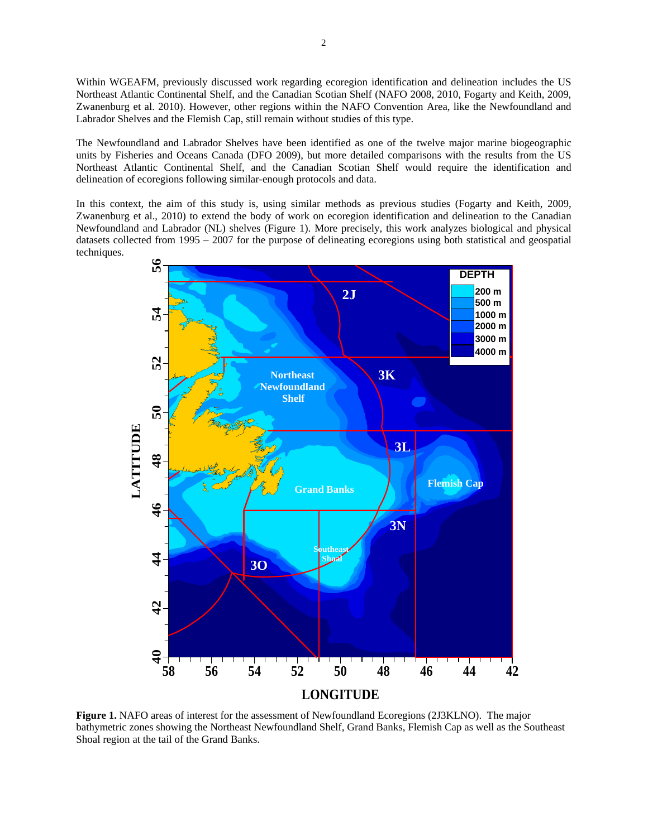Within WGEAFM, previously discussed work regarding ecoregion identification and delineation includes the US Northeast Atlantic Continental Shelf, and the Canadian Scotian Shelf (NAFO 2008, 2010, Fogarty and Keith, 2009, Zwanenburg et al. 2010). However, other regions within the NAFO Convention Area, like the Newfoundland and Labrador Shelves and the Flemish Cap, still remain without studies of this type.

The Newfoundland and Labrador Shelves have been identified as one of the twelve major marine biogeographic units by Fisheries and Oceans Canada (DFO 2009), but more detailed comparisons with the results from the US Northeast Atlantic Continental Shelf, and the Canadian Scotian Shelf would require the identification and delineation of ecoregions following similar-enough protocols and data.

In this context, the aim of this study is, using similar methods as previous studies (Fogarty and Keith, 2009, Zwanenburg et al., 2010) to extend the body of work on ecoregion identification and delineation to the Canadian Newfoundland and Labrador (NL) shelves (Figure 1). More precisely, this work analyzes biological and physical datasets collected from 1995 – 2007 for the purpose of delineating ecoregions using both statistical and geospatial techniques.



**Figure 1.** NAFO areas of interest for the assessment of Newfoundland Ecoregions (2J3KLNO). The major bathymetric zones showing the Northeast Newfoundland Shelf, Grand Banks, Flemish Cap as well as the Southeast Shoal region at the tail of the Grand Banks.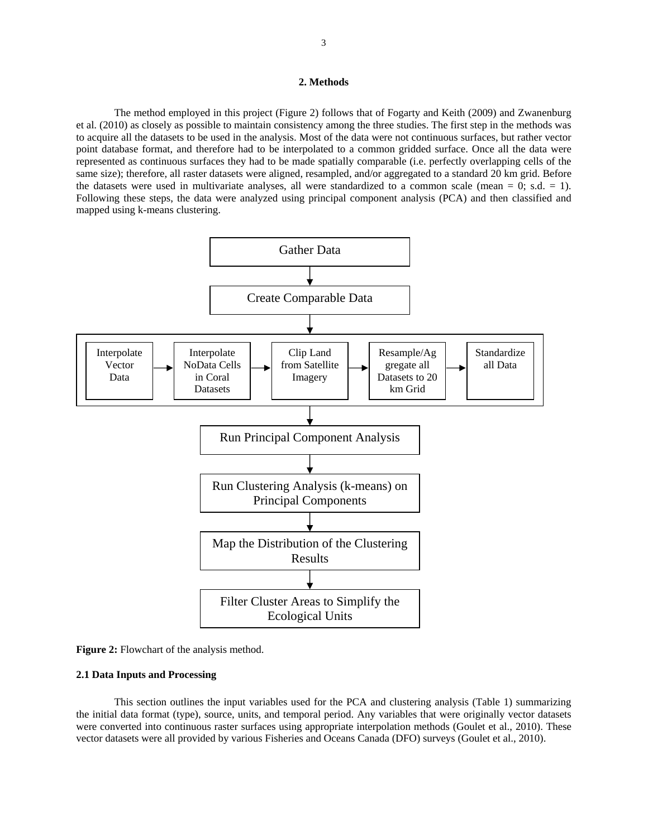## **2. Methods**

The method employed in this project (Figure 2) follows that of Fogarty and Keith (2009) and Zwanenburg et al. (2010) as closely as possible to maintain consistency among the three studies. The first step in the methods was to acquire all the datasets to be used in the analysis. Most of the data were not continuous surfaces, but rather vector point database format, and therefore had to be interpolated to a common gridded surface. Once all the data were represented as continuous surfaces they had to be made spatially comparable (i.e. perfectly overlapping cells of the same size); therefore, all raster datasets were aligned, resampled, and/or aggregated to a standard 20 km grid. Before the datasets were used in multivariate analyses, all were standardized to a common scale (mean =  $0$ ; s.d. = 1). Following these steps, the data were analyzed using principal component analysis (PCA) and then classified and mapped using k-means clustering.



**Figure 2:** Flowchart of the analysis method.

#### **2.1 Data Inputs and Processing**

This section outlines the input variables used for the PCA and clustering analysis (Table 1) summarizing the initial data format (type), source, units, and temporal period. Any variables that were originally vector datasets were converted into continuous raster surfaces using appropriate interpolation methods (Goulet et al., 2010). These vector datasets were all provided by various Fisheries and Oceans Canada (DFO) surveys (Goulet et al., 2010).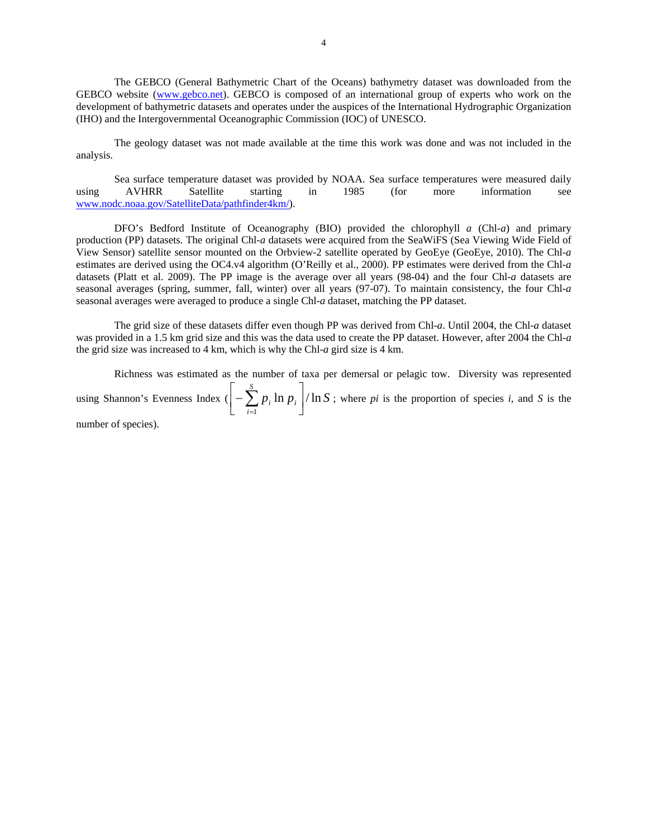The GEBCO (General Bathymetric Chart of the Oceans) bathymetry dataset was downloaded from the GEBCO website (www.gebco.net). GEBCO is composed of an international group of experts who work on the development of bathymetric datasets and operates under the auspices of the International Hydrographic Organization (IHO) and the Intergovernmental Oceanographic Commission (IOC) of UNESCO.

The geology dataset was not made available at the time this work was done and was not included in the analysis.

Sea surface temperature dataset was provided by NOAA. Sea surface temperatures were measured daily using AVHRR Satellite starting in 1985 (for more information see www.nodc.noaa.gov/SatelliteData/pathfinder4km/).

DFO's Bedford Institute of Oceanography (BIO) provided the chlorophyll *a* (Chl-*a*) and primary production (PP) datasets. The original Chl-*a* datasets were acquired from the SeaWiFS (Sea Viewing Wide Field of View Sensor) satellite sensor mounted on the Orbview-2 satellite operated by GeoEye (GeoEye, 2010). The Chl-*a* estimates are derived using the OC4.v4 algorithm (O'Reilly et al., 2000). PP estimates were derived from the Chl-*a* datasets (Platt et al. 2009). The PP image is the average over all years (98-04) and the four Chl-*a* datasets are seasonal averages (spring, summer, fall, winter) over all years (97-07). To maintain consistency, the four Chl-*a* seasonal averages were averaged to produce a single Chl-*a* dataset, matching the PP dataset.

The grid size of these datasets differ even though PP was derived from Chl-*a*. Until 2004, the Chl-*a* dataset was provided in a 1.5 km grid size and this was the data used to create the PP dataset. However, after 2004 the Chl-*a* the grid size was increased to 4 km, which is why the Chl-*a* gird size is 4 km.

Richness was estimated as the number of taxa per demersal or pelagic tow. Diversity was represented using Shannon's Evenness Index  $(|-\sum p_i \ln p_i|/\ln S)$ *S i*  $\sum_{i}$  ln  $p_i$  |/ ln  $\left[-\sum_{i=1}^SP_i\ln p_i\right]$  $\left[-\sum_{i=1}^{S} p_i \ln p_i\right]$  / ln *S*; where *pi* is the proportion of species *i*, and *S* is the

number of species).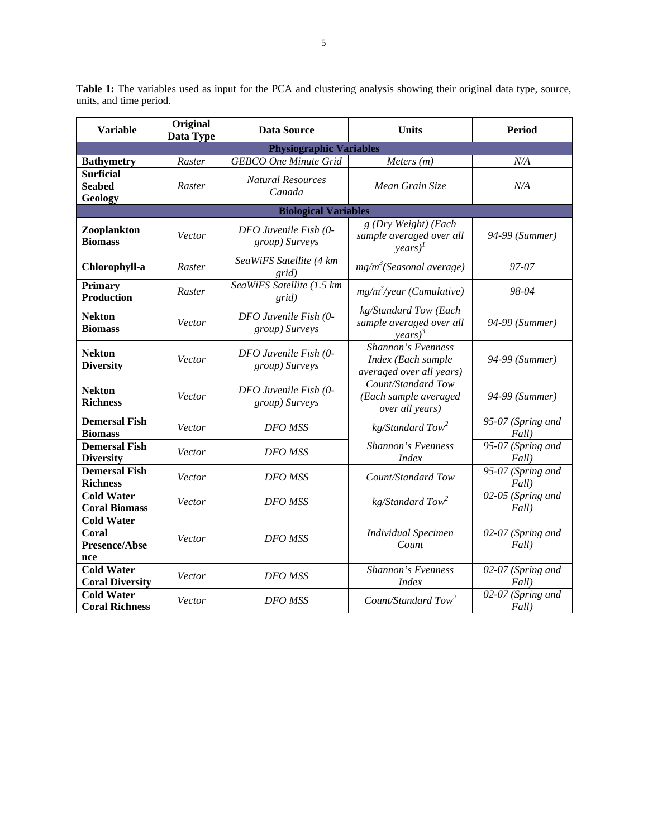| <b>Variable</b>                                     | Original<br>Data Type | <b>Data Source</b>                      | <b>Units</b>                                                                       | <b>Period</b>              |  |
|-----------------------------------------------------|-----------------------|-----------------------------------------|------------------------------------------------------------------------------------|----------------------------|--|
|                                                     |                       | <b>Physiographic Variables</b>          |                                                                                    |                            |  |
| <b>Bathymetry</b>                                   | Raster                | <b>GEBCO</b> One Minute Grid            | Meters $(m)$                                                                       | N/A                        |  |
| <b>Surficial</b><br><b>Seabed</b><br><b>Geology</b> | Raster                | <b>Natural Resources</b><br>Canada      | Mean Grain Size                                                                    | N/A                        |  |
|                                                     |                       | <b>Biological Variables</b>             |                                                                                    |                            |  |
| Zooplankton<br><b>Biomass</b>                       | Vector                | DFO Juvenile Fish (0-<br>group) Surveys | g (Dry Weight) (Each<br>sample averaged over all<br>$years)^{I}$                   | 94-99 (Summer)             |  |
| Chlorophyll-a                                       | Raster                | SeaWiFS Satellite (4 km<br>grid)        | mg/m <sup>3</sup> (Seasonal average)                                               | 97-07                      |  |
| <b>Primary</b><br><b>Production</b>                 | Raster                | SeaWiFS Satellite (1.5 km<br>grid)      | $mg/m^3$ /year (Cumulative)                                                        | 98-04                      |  |
| <b>Nekton</b><br><b>Biomass</b>                     | Vector                | DFO Juvenile Fish (0-<br>group) Surveys | kg/Standard Tow (Each<br>sample averaged over all<br>$\text{years}$ ) <sup>3</sup> | 94-99 (Summer)             |  |
| <b>Nekton</b><br><b>Diversity</b>                   | Vector                | DFO Juvenile Fish (0-<br>group) Surveys | Shannon's Evenness<br>Index (Each sample<br>averaged over all years)               | 94-99 (Summer)             |  |
| <b>Nekton</b><br><b>Richness</b>                    | Vector                | DFO Juvenile Fish (0-<br>group) Surveys | Count/Standard Tow<br>(Each sample averaged<br>over all years)                     | 94-99 (Summer)             |  |
| <b>Demersal Fish</b><br><b>Biomass</b>              | Vector                | DFO MSS                                 | $kg/Standard$ Tow <sup>2</sup>                                                     | 95-07 (Spring and<br>Fall) |  |
| <b>Demersal Fish</b><br><b>Diversity</b>            | Vector                | DFO MSS                                 | Shannon's Evenness<br><b>Index</b>                                                 | 95-07 (Spring and<br>Fall) |  |
| <b>Demersal Fish</b><br><b>Richness</b>             | Vector                | DFO MSS                                 | Count/Standard Tow                                                                 | 95-07 (Spring and<br>Fall) |  |
| <b>Cold Water</b><br><b>Coral Biomass</b>           | Vector                | <b>DFO MSS</b>                          | $kg/Standard$ Tow <sup>2</sup>                                                     | 02-05 (Spring and<br>Fall) |  |
| <b>Cold Water</b><br>Coral<br>Presence/Abse<br>nce  | Vector                | DFO MSS                                 | <b>Individual Specimen</b><br>Count                                                | 02-07 (Spring and<br>Fall) |  |
| <b>Cold Water</b><br><b>Coral Diversity</b>         | Vector                | <b>DFO MSS</b>                          | Shannon's Evenness<br><i>Index</i>                                                 | 02-07 (Spring and<br>Fall) |  |
| <b>Cold Water</b><br><b>Coral Richness</b>          | Vector                | DFO MSS                                 | Count/Standard Tow <sup>2</sup>                                                    | 02-07 (Spring and<br>Fall) |  |

**Table 1:** The variables used as input for the PCA and clustering analysis showing their original data type, source, units, and time period.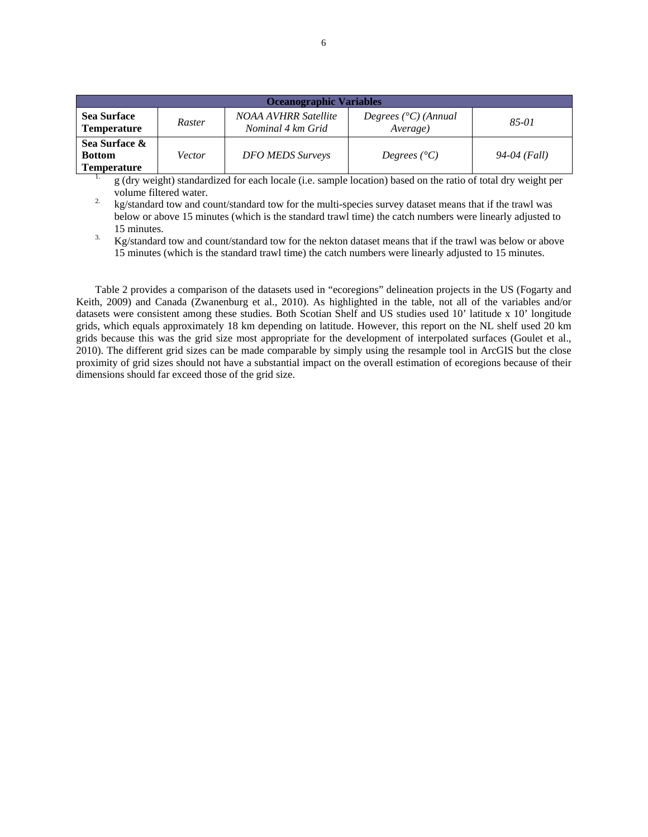| <b>Oceanographic Variables</b>                       |        |                                           |                                             |              |  |  |  |  |  |  |
|------------------------------------------------------|--------|-------------------------------------------|---------------------------------------------|--------------|--|--|--|--|--|--|
| <b>Sea Surface</b><br><b>Temperature</b>             | Raster | NOAA AVHRR Satellite<br>Nominal 4 km Grid | Degrees $({}^{\circ}C)$ (Annual<br>Average) | $85 - 01$    |  |  |  |  |  |  |
| Sea Surface &<br><b>Bottom</b><br><b>Temperature</b> | Vector | <b>DFO MEDS Surveys</b>                   | Degrees $(^{\circ}C)$                       | 94-04 (Fall) |  |  |  |  |  |  |

 $\frac{1}{2}$  g (dry weight) standardized for each locale (i.e. sample location) based on the ratio of total dry weight per volume filtered water.<br><sup>2.</sup> kg/standard tow and count/standard tow for the multi-species survey dataset means that if the trawl was

below or above 15 minutes (which is the standard trawl time) the catch numbers were linearly adjusted to

15 minutes.<br>3. Kg/standard tow and count/standard tow for the nekton dataset means that if the trawl was below or above 15 minutes (which is the standard trawl time) the catch numbers were linearly adjusted to 15 minutes.

Table 2 provides a comparison of the datasets used in "ecoregions" delineation projects in the US (Fogarty and Keith, 2009) and Canada (Zwanenburg et al., 2010). As highlighted in the table, not all of the variables and/or datasets were consistent among these studies. Both Scotian Shelf and US studies used 10' latitude x 10' longitude grids, which equals approximately 18 km depending on latitude. However, this report on the NL shelf used 20 km grids because this was the grid size most appropriate for the development of interpolated surfaces (Goulet et al., 2010). The different grid sizes can be made comparable by simply using the resample tool in ArcGIS but the close proximity of grid sizes should not have a substantial impact on the overall estimation of ecoregions because of their dimensions should far exceed those of the grid size.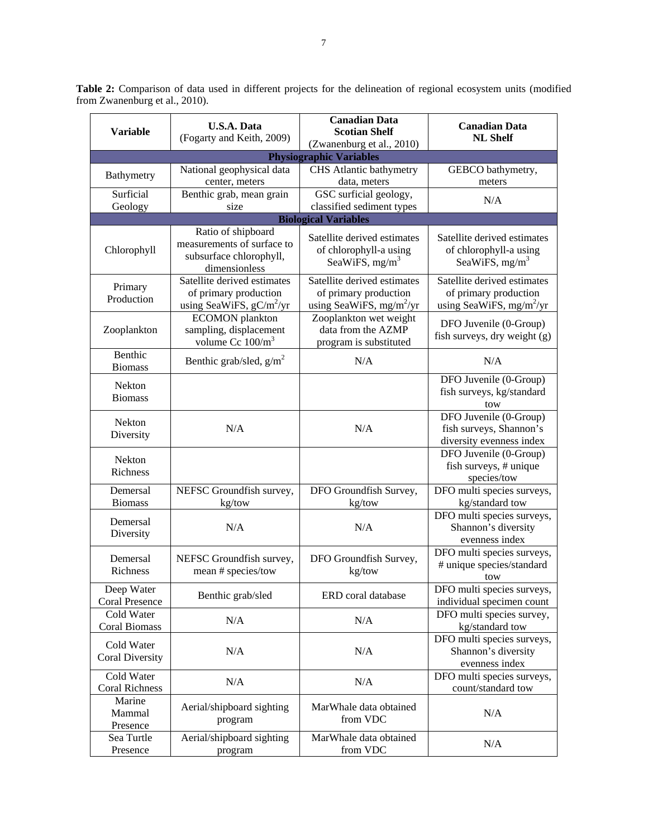| Table 2: Comparison of data used in different projects for the delineation of regional ecosystem units (modified |  |  |  |  |  |
|------------------------------------------------------------------------------------------------------------------|--|--|--|--|--|
| from Zwanenburg et al., 2010).                                                                                   |  |  |  |  |  |

| <b>Variable</b>                     | <b>U.S.A. Data</b><br>(Fogarty and Keith, 2009)                                              | <b>Canadian Data</b><br><b>Scotian Shelf</b><br>(Zwanenburg et al., 2010)          | <b>Canadian Data</b><br><b>NL Shelf</b>                                            |  |  |
|-------------------------------------|----------------------------------------------------------------------------------------------|------------------------------------------------------------------------------------|------------------------------------------------------------------------------------|--|--|
|                                     |                                                                                              | <b>Physiographic Variables</b>                                                     |                                                                                    |  |  |
| Bathymetry                          | National geophysical data<br>center, meters                                                  | CHS Atlantic bathymetry<br>data, meters                                            | GEBCO bathymetry,<br>meters                                                        |  |  |
| Surficial<br>Geology                | Benthic grab, mean grain<br>size                                                             | GSC surficial geology,<br>classified sediment types                                | N/A                                                                                |  |  |
|                                     |                                                                                              | <b>Biological Variables</b>                                                        |                                                                                    |  |  |
| Chlorophyll                         | Ratio of shipboard<br>measurements of surface to<br>subsurface chlorophyll,<br>dimensionless | Satellite derived estimates<br>of chlorophyll-a using<br>SeaWiFS, $mg/m3$          | Satellite derived estimates<br>of chlorophyll-a using<br>SeaWiFS, $mg/m3$          |  |  |
| Primary<br>Production               | Satellite derived estimates<br>of primary production<br>using SeaWiFS, $gC/m^2/yr$           | Satellite derived estimates<br>of primary production<br>using SeaWiFS, $mg/m^2/yr$ | Satellite derived estimates<br>of primary production<br>using SeaWiFS, $mg/m^2/yr$ |  |  |
| Zooplankton                         | <b>ECOMON</b> plankton<br>sampling, displacement<br>volume Cc $100/m^3$                      | Zooplankton wet weight<br>data from the AZMP<br>program is substituted             | DFO Juvenile (0-Group)<br>fish surveys, dry weight (g)                             |  |  |
| Benthic<br><b>Biomass</b>           | Benthic grab/sled, $g/m^2$                                                                   | N/A                                                                                | N/A                                                                                |  |  |
| Nekton<br><b>Biomass</b>            |                                                                                              |                                                                                    | DFO Juvenile (0-Group)<br>fish surveys, kg/standard<br>tow                         |  |  |
| <b>Nekton</b><br>Diversity          | N/A                                                                                          | N/A                                                                                | DFO Juvenile (0-Group)<br>fish surveys, Shannon's<br>diversity evenness index      |  |  |
| Nekton<br>Richness                  |                                                                                              |                                                                                    | DFO Juvenile (0-Group)<br>fish surveys, # unique<br>species/tow                    |  |  |
| Demersal<br><b>Biomass</b>          | NEFSC Groundfish survey,<br>kg/tow                                                           | DFO Groundfish Survey,<br>kg/tow                                                   | DFO multi species surveys,<br>kg/standard tow                                      |  |  |
| Demersal<br>Diversity               | N/A                                                                                          | N/A                                                                                | DFO multi species surveys,<br>Shannon's diversity<br>evenness index                |  |  |
| Demersal<br>Richness                | NEFSC Groundfish survey,<br>mean # species/tow                                               | DFO Groundfish Survey,<br>kg/tow                                                   | DFO multi species surveys,<br># unique species/standard<br>tow                     |  |  |
| Deep Water<br><b>Coral Presence</b> | Benthic grab/sled                                                                            | ERD coral database                                                                 | DFO multi species surveys,<br>individual specimen count                            |  |  |
| Cold Water<br><b>Coral Biomass</b>  | N/A                                                                                          | N/A                                                                                | DFO multi species survey,<br>kg/standard tow                                       |  |  |
| Cold Water<br>Coral Diversity       | N/A                                                                                          | N/A                                                                                | DFO multi species surveys,<br>Shannon's diversity<br>evenness index                |  |  |
| Cold Water<br><b>Coral Richness</b> | N/A                                                                                          | N/A                                                                                | DFO multi species surveys,<br>count/standard tow                                   |  |  |
| Marine<br>Mammal<br>Presence        | Aerial/shipboard sighting<br>program                                                         | MarWhale data obtained<br>from VDC                                                 | N/A                                                                                |  |  |
| Sea Turtle<br>Presence              | Aerial/shipboard sighting<br>program                                                         | MarWhale data obtained<br>from VDC                                                 | N/A                                                                                |  |  |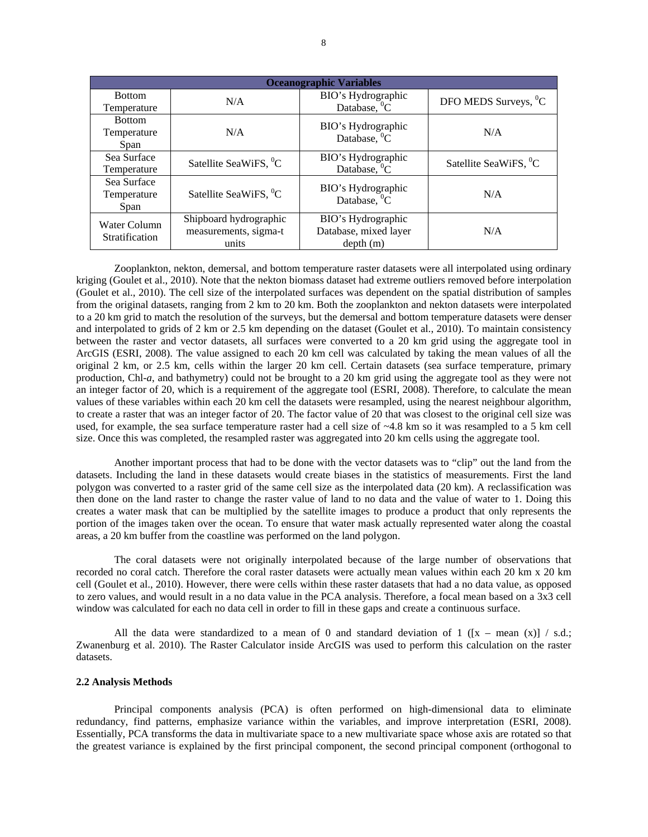|                                      |                                                          | <b>Oceanographic Variables</b>                          |                                   |
|--------------------------------------|----------------------------------------------------------|---------------------------------------------------------|-----------------------------------|
| <b>Bottom</b><br>Temperature         | N/A                                                      | BIO's Hydrographic<br>Database, ${}^{0}C$               | DFO MEDS Surveys, <sup>0</sup> C  |
| <b>Bottom</b><br>Temperature<br>Span | N/A                                                      | BIO's Hydrographic<br>Database, ${}^{0}C$               | N/A                               |
| Sea Surface<br>Temperature           | Satellite SeaWiFS, <sup>0</sup> C                        | BIO's Hydrographic<br>Database, ${}^{0}C$               | Satellite SeaWiFS, <sup>0</sup> C |
| Sea Surface<br>Temperature<br>Span   | Satellite SeaWiFS, <sup>0</sup> C                        | BIO's Hydrographic<br>Database, ${}^{0}C$               | N/A                               |
| Water Column<br>Stratification       | Shipboard hydrographic<br>measurements, sigma-t<br>units | BIO's Hydrographic<br>Database, mixed layer<br>depth(m) | N/A                               |

Zooplankton, nekton, demersal, and bottom temperature raster datasets were all interpolated using ordinary kriging (Goulet et al., 2010). Note that the nekton biomass dataset had extreme outliers removed before interpolation (Goulet et al., 2010). The cell size of the interpolated surfaces was dependent on the spatial distribution of samples from the original datasets, ranging from 2 km to 20 km. Both the zooplankton and nekton datasets were interpolated to a 20 km grid to match the resolution of the surveys, but the demersal and bottom temperature datasets were denser and interpolated to grids of 2 km or 2.5 km depending on the dataset (Goulet et al., 2010). To maintain consistency between the raster and vector datasets, all surfaces were converted to a 20 km grid using the aggregate tool in ArcGIS (ESRI, 2008). The value assigned to each 20 km cell was calculated by taking the mean values of all the original 2 km, or 2.5 km, cells within the larger 20 km cell. Certain datasets (sea surface temperature, primary production, Chl-*a*, and bathymetry) could not be brought to a 20 km grid using the aggregate tool as they were not an integer factor of 20, which is a requirement of the aggregate tool (ESRI, 2008). Therefore, to calculate the mean values of these variables within each 20 km cell the datasets were resampled, using the nearest neighbour algorithm, to create a raster that was an integer factor of 20. The factor value of 20 that was closest to the original cell size was used, for example, the sea surface temperature raster had a cell size of ~4.8 km so it was resampled to a 5 km cell size. Once this was completed, the resampled raster was aggregated into 20 km cells using the aggregate tool.

Another important process that had to be done with the vector datasets was to "clip" out the land from the datasets. Including the land in these datasets would create biases in the statistics of measurements. First the land polygon was converted to a raster grid of the same cell size as the interpolated data (20 km). A reclassification was then done on the land raster to change the raster value of land to no data and the value of water to 1. Doing this creates a water mask that can be multiplied by the satellite images to produce a product that only represents the portion of the images taken over the ocean. To ensure that water mask actually represented water along the coastal areas, a 20 km buffer from the coastline was performed on the land polygon.

The coral datasets were not originally interpolated because of the large number of observations that recorded no coral catch. Therefore the coral raster datasets were actually mean values within each 20 km x 20 km cell (Goulet et al., 2010). However, there were cells within these raster datasets that had a no data value, as opposed to zero values, and would result in a no data value in the PCA analysis. Therefore, a focal mean based on a 3x3 cell window was calculated for each no data cell in order to fill in these gaps and create a continuous surface.

All the data were standardized to a mean of 0 and standard deviation of 1 ( $[x - \text{mean } (x)] / \text{s.d.};$ Zwanenburg et al. 2010). The Raster Calculator inside ArcGIS was used to perform this calculation on the raster datasets.

#### **2.2 Analysis Methods**

Principal components analysis (PCA) is often performed on high-dimensional data to eliminate redundancy, find patterns, emphasize variance within the variables, and improve interpretation (ESRI, 2008). Essentially, PCA transforms the data in multivariate space to a new multivariate space whose axis are rotated so that the greatest variance is explained by the first principal component, the second principal component (orthogonal to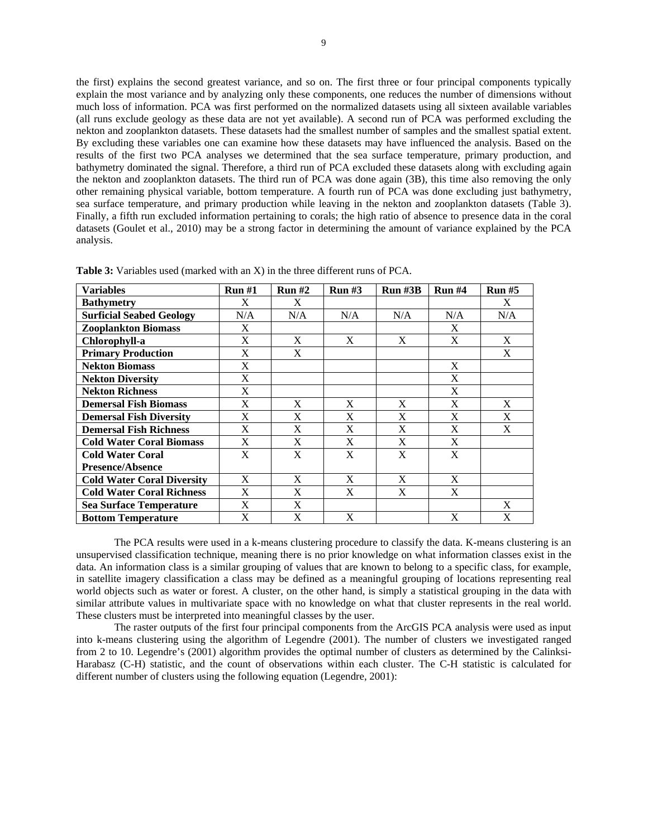the first) explains the second greatest variance, and so on. The first three or four principal components typically explain the most variance and by analyzing only these components, one reduces the number of dimensions without much loss of information. PCA was first performed on the normalized datasets using all sixteen available variables (all runs exclude geology as these data are not yet available). A second run of PCA was performed excluding the nekton and zooplankton datasets. These datasets had the smallest number of samples and the smallest spatial extent. By excluding these variables one can examine how these datasets may have influenced the analysis. Based on the results of the first two PCA analyses we determined that the sea surface temperature, primary production, and bathymetry dominated the signal. Therefore, a third run of PCA excluded these datasets along with excluding again the nekton and zooplankton datasets. The third run of PCA was done again (3B), this time also removing the only other remaining physical variable, bottom temperature. A fourth run of PCA was done excluding just bathymetry, sea surface temperature, and primary production while leaving in the nekton and zooplankton datasets (Table 3). Finally, a fifth run excluded information pertaining to corals; the high ratio of absence to presence data in the coral datasets (Goulet et al., 2010) may be a strong factor in determining the amount of variance explained by the PCA analysis.

| <b>Variables</b>                  | Run#1 | Run#2 | Run#3 | $Run$ #3 $B$ | Run#4 | Run#5 |
|-----------------------------------|-------|-------|-------|--------------|-------|-------|
| <b>Bathymetry</b>                 | X     | X     |       |              |       | X     |
| <b>Surficial Seabed Geology</b>   | N/A   | N/A   | N/A   | N/A          | N/A   | N/A   |
| <b>Zooplankton Biomass</b>        | X     |       |       |              | X     |       |
| Chlorophyll-a                     | X     | X     | X     | X            | X     | X     |
| <b>Primary Production</b>         | X     | X     |       |              |       | X     |
| <b>Nekton Biomass</b>             | X     |       |       |              | X     |       |
| <b>Nekton Diversity</b>           | X     |       |       |              | X     |       |
| <b>Nekton Richness</b>            | X     |       |       |              | X     |       |
| <b>Demersal Fish Biomass</b>      | X     | X     | X     | X            | X     | X     |
| <b>Demersal Fish Diversity</b>    | X     | X     | X     | X            | X     | X     |
| <b>Demersal Fish Richness</b>     | X     | X     | X     | X            | X     | X     |
| <b>Cold Water Coral Biomass</b>   | X     | X     | X     | X            | X     |       |
| <b>Cold Water Coral</b>           | X     | X     | X     | X            | X     |       |
| <b>Presence/Absence</b>           |       |       |       |              |       |       |
| <b>Cold Water Coral Diversity</b> | X     | X     | X     | X            | X     |       |
| <b>Cold Water Coral Richness</b>  | X     | X     | X     | X            | X     |       |
| <b>Sea Surface Temperature</b>    | X     | X     |       |              |       | X     |
| <b>Bottom Temperature</b>         | X     | X     | X     |              | X     | X     |

**Table 3:** Variables used (marked with an X) in the three different runs of PCA.

 The PCA results were used in a k-means clustering procedure to classify the data. K-means clustering is an unsupervised classification technique, meaning there is no prior knowledge on what information classes exist in the data. An information class is a similar grouping of values that are known to belong to a specific class, for example, in satellite imagery classification a class may be defined as a meaningful grouping of locations representing real world objects such as water or forest. A cluster, on the other hand, is simply a statistical grouping in the data with similar attribute values in multivariate space with no knowledge on what that cluster represents in the real world. These clusters must be interpreted into meaningful classes by the user.

The raster outputs of the first four principal components from the ArcGIS PCA analysis were used as input into k-means clustering using the algorithm of Legendre (2001). The number of clusters we investigated ranged from 2 to 10. Legendre's (2001) algorithm provides the optimal number of clusters as determined by the Calinksi-Harabasz (C-H) statistic, and the count of observations within each cluster. The C-H statistic is calculated for different number of clusters using the following equation (Legendre, 2001):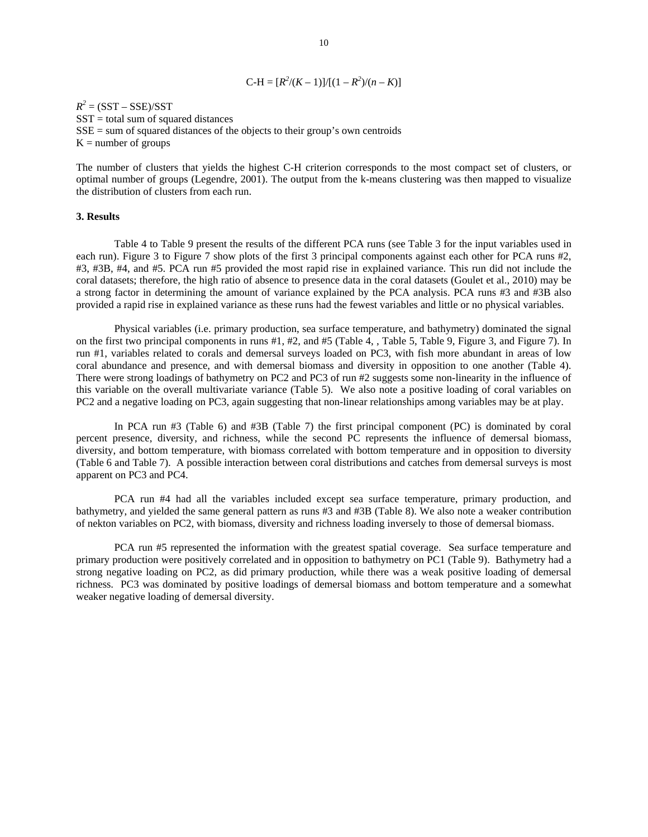$$
C-H = [R^2/(K-1)]/[(1 - R^2)/(n - K)]
$$

 $R^2 = (SST - SSE)/SST$  $SST =$  total sum of squared distances  $SSE = sum of squared distances of the objects to their group's own centroids$  $K =$  number of groups

The number of clusters that yields the highest C-H criterion corresponds to the most compact set of clusters, or optimal number of groups (Legendre, 2001). The output from the k-means clustering was then mapped to visualize the distribution of clusters from each run.

#### **3. Results**

 Table 4 to Table 9 present the results of the different PCA runs (see Table 3 for the input variables used in each run). Figure 3 to Figure 7 show plots of the first 3 principal components against each other for PCA runs #2, #3, #3B, #4, and #5. PCA run #5 provided the most rapid rise in explained variance. This run did not include the coral datasets; therefore, the high ratio of absence to presence data in the coral datasets (Goulet et al., 2010) may be a strong factor in determining the amount of variance explained by the PCA analysis. PCA runs #3 and #3B also provided a rapid rise in explained variance as these runs had the fewest variables and little or no physical variables.

Physical variables (i.e. primary production, sea surface temperature, and bathymetry) dominated the signal on the first two principal components in runs #1, #2, and #5 (Table 4, , Table 5, Table 9, Figure 3, and Figure 7). In run #1, variables related to corals and demersal surveys loaded on PC3, with fish more abundant in areas of low coral abundance and presence, and with demersal biomass and diversity in opposition to one another (Table 4). There were strong loadings of bathymetry on PC2 and PC3 of run #2 suggests some non-linearity in the influence of this variable on the overall multivariate variance (Table 5). We also note a positive loading of coral variables on PC2 and a negative loading on PC3, again suggesting that non-linear relationships among variables may be at play.

In PCA run #3 (Table 6) and #3B (Table 7) the first principal component (PC) is dominated by coral percent presence, diversity, and richness, while the second PC represents the influence of demersal biomass, diversity, and bottom temperature, with biomass correlated with bottom temperature and in opposition to diversity (Table 6 and Table 7). A possible interaction between coral distributions and catches from demersal surveys is most apparent on PC3 and PC4.

PCA run #4 had all the variables included except sea surface temperature, primary production, and bathymetry, and yielded the same general pattern as runs #3 and #3B (Table 8). We also note a weaker contribution of nekton variables on PC2, with biomass, diversity and richness loading inversely to those of demersal biomass.

PCA run #5 represented the information with the greatest spatial coverage. Sea surface temperature and primary production were positively correlated and in opposition to bathymetry on PC1 (Table 9). Bathymetry had a strong negative loading on PC2, as did primary production, while there was a weak positive loading of demersal richness. PC3 was dominated by positive loadings of demersal biomass and bottom temperature and a somewhat weaker negative loading of demersal diversity.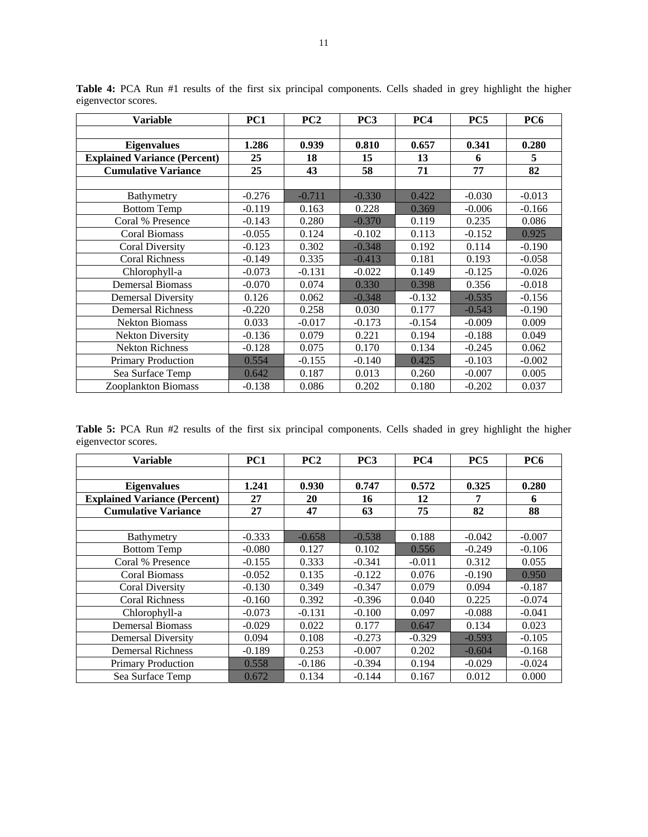| <b>Variable</b>                     | PC1      | PC2      | PC <sub>3</sub> | PC4      | PC5      | PC <sub>6</sub> |
|-------------------------------------|----------|----------|-----------------|----------|----------|-----------------|
|                                     |          |          |                 |          |          |                 |
| <b>Eigenvalues</b>                  | 1.286    | 0.939    | 0.810           | 0.657    | 0.341    | 0.280           |
| <b>Explained Variance (Percent)</b> | 25       | 18       | 15              | 13       | 6        | 5               |
| <b>Cumulative Variance</b>          | 25       | 43       | 58              | 71       | 77       | 82              |
|                                     |          |          |                 |          |          |                 |
| Bathymetry                          | $-0.276$ | $-0.711$ | $-0.330$        | 0.422    | $-0.030$ | $-0.013$        |
| <b>Bottom Temp</b>                  | -0.119   | 0.163    | 0.228           | 0.369    | $-0.006$ | $-0.166$        |
| Coral % Presence                    | $-0.143$ | 0.280    | $-0.370$        | 0.119    | 0.235    | 0.086           |
| <b>Coral Biomass</b>                | $-0.055$ | 0.124    | $-0.102$        | 0.113    | $-0.152$ | 0.925           |
| <b>Coral Diversity</b>              | $-0.123$ | 0.302    | $-0.348$        | 0.192    | 0.114    | $-0.190$        |
| <b>Coral Richness</b>               | $-0.149$ | 0.335    | $-0.413$        | 0.181    | 0.193    | $-0.058$        |
| Chlorophyll-a                       | $-0.073$ | $-0.131$ | $-0.022$        | 0.149    | $-0.125$ | $-0.026$        |
| <b>Demersal Biomass</b>             | $-0.070$ | 0.074    | 0.330           | 0.398    | 0.356    | $-0.018$        |
| Demersal Diversity                  | 0.126    | 0.062    | $-0.348$        | $-0.132$ | $-0.535$ | $-0.156$        |
| <b>Demersal Richness</b>            | $-0.220$ | 0.258    | 0.030           | 0.177    | $-0.543$ | $-0.190$        |
| <b>Nekton Biomass</b>               | 0.033    | $-0.017$ | $-0.173$        | $-0.154$ | $-0.009$ | 0.009           |
| <b>Nekton Diversity</b>             | $-0.136$ | 0.079    | 0.221           | 0.194    | $-0.188$ | 0.049           |
| <b>Nekton Richness</b>              | $-0.128$ | 0.075    | 0.170           | 0.134    | $-0.245$ | 0.062           |
| <b>Primary Production</b>           | 0.554    | $-0.155$ | $-0.140$        | 0.425    | $-0.103$ | $-0.002$        |
| Sea Surface Temp                    | 0.642    | 0.187    | 0.013           | 0.260    | $-0.007$ | 0.005           |
| <b>Zooplankton Biomass</b>          | $-0.138$ | 0.086    | 0.202           | 0.180    | $-0.202$ | 0.037           |

**Table 4:** PCA Run #1 results of the first six principal components. Cells shaded in grey highlight the higher eigenvector scores.

**Table 5:** PCA Run #2 results of the first six principal components. Cells shaded in grey highlight the higher eigenvector scores.

| <b>Variable</b>                     | PC1      | PC2      | PC <sub>3</sub> | PC4      | PC <sub>5</sub> | PC <sub>6</sub> |
|-------------------------------------|----------|----------|-----------------|----------|-----------------|-----------------|
|                                     |          |          |                 |          |                 |                 |
| <b>Eigenvalues</b>                  | 1.241    | 0.930    | 0.747           | 0.572    | 0.325           | 0.280           |
| <b>Explained Variance (Percent)</b> | 27       | 20       | 16              | 12       | 7               | 6               |
| <b>Cumulative Variance</b>          | 27       | 47       | 63              | 75       | 82              | 88              |
|                                     |          |          |                 |          |                 |                 |
| <b>Bathymetry</b>                   | $-0.333$ | $-0.658$ | $-0.538$        | 0.188    | $-0.042$        | $-0.007$        |
| <b>Bottom Temp</b>                  | $-0.080$ | 0.127    | 0.102           | 0.556    | $-0.249$        | $-0.106$        |
| Coral % Presence                    | $-0.155$ | 0.333    | $-0.341$        | $-0.011$ | 0.312           | 0.055           |
| <b>Coral Biomass</b>                | $-0.052$ | 0.135    | $-0.122$        | 0.076    | $-0.190$        | 0.950           |
| <b>Coral Diversity</b>              | $-0.130$ | 0.349    | $-0.347$        | 0.079    | 0.094           | $-0.187$        |
| <b>Coral Richness</b>               | $-0.160$ | 0.392    | $-0.396$        | 0.040    | 0.225           | $-0.074$        |
| Chlorophyll-a                       | $-0.073$ | $-0.131$ | $-0.100$        | 0.097    | $-0.088$        | $-0.041$        |
| <b>Demersal Biomass</b>             | $-0.029$ | 0.022    | 0.177           | 0.647    | 0.134           | 0.023           |
| <b>Demersal Diversity</b>           | 0.094    | 0.108    | $-0.273$        | $-0.329$ | $-0.593$        | $-0.105$        |
| <b>Demersal Richness</b>            | $-0.189$ | 0.253    | $-0.007$        | 0.202    | $-0.604$        | $-0.168$        |
| <b>Primary Production</b>           | 0.558    | $-0.186$ | $-0.394$        | 0.194    | $-0.029$        | $-0.024$        |
| Sea Surface Temp                    | 0.672    | 0.134    | $-0.144$        | 0.167    | 0.012           | 0.000           |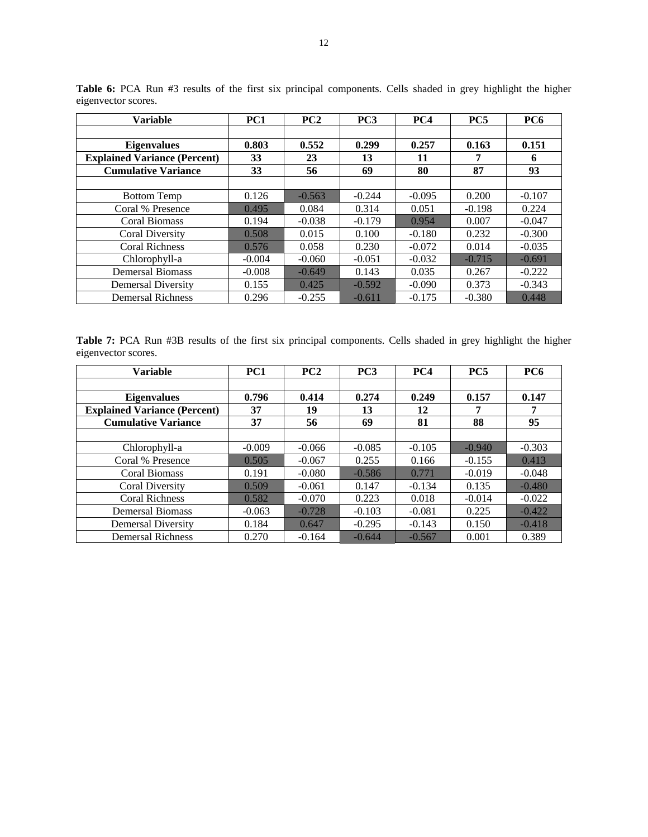| <b>Variable</b>                     | PC <sub>1</sub> | PC <sub>2</sub> | PC <sub>3</sub> | PC4      | PC <sub>5</sub> | PC <sub>6</sub> |
|-------------------------------------|-----------------|-----------------|-----------------|----------|-----------------|-----------------|
|                                     |                 |                 |                 |          |                 |                 |
| <b>Eigenvalues</b>                  | 0.803           | 0.552           | 0.299           | 0.257    | 0.163           | 0.151           |
| <b>Explained Variance (Percent)</b> | 33              | 23              | 13              | 11       |                 | 6               |
| <b>Cumulative Variance</b>          | 33              | 56              | 69              | 80       | 87              | 93              |
|                                     |                 |                 |                 |          |                 |                 |
| <b>Bottom Temp</b>                  | 0.126           | $-0.563$        | $-0.244$        | $-0.095$ | 0.200           | $-0.107$        |
| Coral % Presence                    | 0.495           | 0.084           | 0.314           | 0.051    | $-0.198$        | 0.224           |
| <b>Coral Biomass</b>                | 0.194           | $-0.038$        | $-0.179$        | 0.954    | 0.007           | $-0.047$        |
| Coral Diversity                     | 0.508           | 0.015           | 0.100           | $-0.180$ | 0.232           | $-0.300$        |
| <b>Coral Richness</b>               | 0.576           | 0.058           | 0.230           | $-0.072$ | 0.014           | $-0.035$        |
| Chlorophyll-a                       | $-0.004$        | $-0.060$        | $-0.051$        | $-0.032$ | $-0.715$        | $-0.691$        |
| <b>Demersal Biomass</b>             | $-0.008$        | $-0.649$        | 0.143           | 0.035    | 0.267           | $-0.222$        |
| Demersal Diversity                  | 0.155           | 0.425           | $-0.592$        | $-0.090$ | 0.373           | $-0.343$        |
| <b>Demersal Richness</b>            | 0.296           | $-0.255$        | $-0.611$        | $-0.175$ | $-0.380$        | 0.448           |

**Table 6:** PCA Run #3 results of the first six principal components. Cells shaded in grey highlight the higher eigenvector scores.

|                     |  |  |  |  | Table 7: PCA Run #3B results of the first six principal components. Cells shaded in grey highlight the higher |  |  |  |  |
|---------------------|--|--|--|--|---------------------------------------------------------------------------------------------------------------|--|--|--|--|
| eigenvector scores. |  |  |  |  |                                                                                                               |  |  |  |  |

| Variable                                                  | PC1         | PC <sub>2</sub> | PC3         | PC4         | PC <sub>5</sub> | PC <sub>6</sub> |
|-----------------------------------------------------------|-------------|-----------------|-------------|-------------|-----------------|-----------------|
| <b>Eigenvalues</b><br><b>Explained Variance (Percent)</b> | 0.796<br>37 | 0.414<br>19     | 0.274<br>13 | 0.249<br>12 | 0.157<br>7      | 0.147<br>7      |
| <b>Cumulative Variance</b>                                | 37          | 56              | 69          | 81          | 88              | 95              |
|                                                           |             |                 |             |             |                 |                 |
| Chlorophyll-a                                             | $-0.009$    | $-0.066$        | $-0.085$    | $-0.105$    | $-0.940$        | $-0.303$        |
| Coral % Presence                                          | 0.505       | $-0.067$        | 0.255       | 0.166       | $-0.155$        | 0.413           |
| Coral Biomass                                             | 0.191       | $-0.080$        | $-0.586$    | 0.771       | $-0.019$        | $-0.048$        |
| <b>Coral Diversity</b>                                    | 0.509       | $-0.061$        | 0.147       | $-0.134$    | 0.135           | $-0.480$        |
| <b>Coral Richness</b>                                     | 0.582       | $-0.070$        | 0.223       | 0.018       | $-0.014$        | $-0.022$        |
| <b>Demersal Biomass</b>                                   | $-0.063$    | $-0.728$        | $-0.103$    | $-0.081$    | 0.225           | $-0.422$        |
| Demersal Diversity                                        | 0.184       | 0.647           | $-0.295$    | $-0.143$    | 0.150           | $-0.418$        |
| <b>Demersal Richness</b>                                  | 0.270       | $-0.164$        | $-0.644$    | $-0.567$    | 0.001           | 0.389           |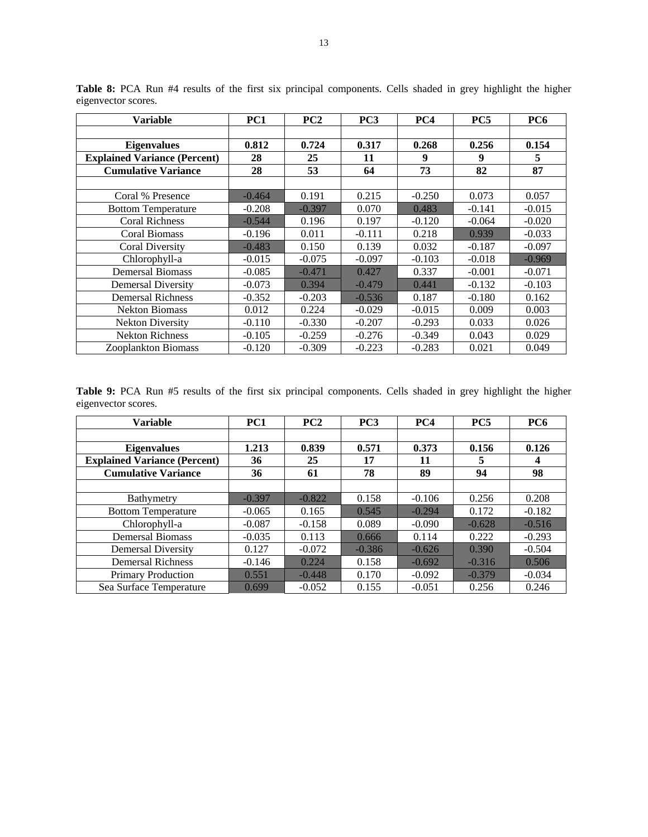| <b>Variable</b>                     | PC1      | PC2      | PC <sub>3</sub> | PC4      | PC5      | <b>PC6</b> |
|-------------------------------------|----------|----------|-----------------|----------|----------|------------|
|                                     |          |          |                 |          |          |            |
| <b>Eigenvalues</b>                  | 0.812    | 0.724    | 0.317           | 0.268    | 0.256    | 0.154      |
| <b>Explained Variance (Percent)</b> | 28       | 25       | 11              | 9        | 9        | 5          |
| <b>Cumulative Variance</b>          | 28       | 53       | 64              | 73       | 82       | 87         |
|                                     |          |          |                 |          |          |            |
| Coral % Presence                    | $-0.464$ | 0.191    | 0.215           | $-0.250$ | 0.073    | 0.057      |
| <b>Bottom Temperature</b>           | $-0.208$ | $-0.397$ | 0.070           | 0.483    | $-0.141$ | $-0.015$   |
| <b>Coral Richness</b>               | $-0.544$ | 0.196    | 0.197           | $-0.120$ | $-0.064$ | $-0.020$   |
| <b>Coral Biomass</b>                | $-0.196$ | 0.011    | $-0.111$        | 0.218    | 0.939    | $-0.033$   |
| Coral Diversity                     | $-0.483$ | 0.150    | 0.139           | 0.032    | $-0.187$ | $-0.097$   |
| Chlorophyll-a                       | $-0.015$ | $-0.075$ | $-0.097$        | $-0.103$ | $-0.018$ | $-0.969$   |
| <b>Demersal Biomass</b>             | $-0.085$ | $-0.471$ | 0.427           | 0.337    | $-0.001$ | $-0.071$   |
| <b>Demersal Diversity</b>           | $-0.073$ | 0.394    | $-0.479$        | 0.441    | $-0.132$ | $-0.103$   |
| <b>Demersal Richness</b>            | $-0.352$ | $-0.203$ | $-0.536$        | 0.187    | $-0.180$ | 0.162      |
| <b>Nekton Biomass</b>               | 0.012    | 0.224    | $-0.029$        | $-0.015$ | 0.009    | 0.003      |
| <b>Nekton Diversity</b>             | $-0.110$ | $-0.330$ | $-0.207$        | $-0.293$ | 0.033    | 0.026      |
| <b>Nekton Richness</b>              | $-0.105$ | $-0.259$ | $-0.276$        | $-0.349$ | 0.043    | 0.029      |
| <b>Zooplankton Biomass</b>          | $-0.120$ | $-0.309$ | $-0.223$        | $-0.283$ | 0.021    | 0.049      |

**Table 8:** PCA Run #4 results of the first six principal components. Cells shaded in grey highlight the higher eigenvector scores.

**Table 9:** PCA Run #5 results of the first six principal components. Cells shaded in grey highlight the higher eigenvector scores.

| <b>Variable</b>                                           | PC <sub>1</sub> | PC2         | PC <sub>3</sub> | PC <sub>4</sub> | PC5        | PC6        |
|-----------------------------------------------------------|-----------------|-------------|-----------------|-----------------|------------|------------|
| <b>Eigenvalues</b><br><b>Explained Variance (Percent)</b> | 1.213<br>36     | 0.839<br>25 | 0.571<br>17     | 0.373<br>11     | 0.156<br>5 | 0.126<br>4 |
| <b>Cumulative Variance</b>                                | 36              | 61          | 78              | 89              | 94         | 98         |
|                                                           |                 |             |                 |                 |            |            |
| Bathymetry                                                | $-0.397$        | $-0.822$    | 0.158           | $-0.106$        | 0.256      | 0.208      |
| <b>Bottom Temperature</b>                                 | $-0.065$        | 0.165       | 0.545           | $-0.294$        | 0.172      | $-0.182$   |
| Chlorophyll-a                                             | $-0.087$        | $-0.158$    | 0.089           | $-0.090$        | $-0.628$   | $-0.516$   |
| <b>Demersal Biomass</b>                                   | $-0.035$        | 0.113       | 0.666           | 0.114           | 0.222      | $-0.293$   |
| <b>Demersal Diversity</b>                                 | 0.127           | $-0.072$    | $-0.386$        | $-0.626$        | 0.390      | $-0.504$   |
| <b>Demersal Richness</b>                                  | $-0.146$        | 0.224       | 0.158           | $-0.692$        | $-0.316$   | 0.506      |
| <b>Primary Production</b>                                 | 0.551           | $-0.448$    | 0.170           | $-0.092$        | $-0.379$   | $-0.034$   |
| Sea Surface Temperature                                   | 0.699           | $-0.052$    | 0.155           | $-0.051$        | 0.256      | 0.246      |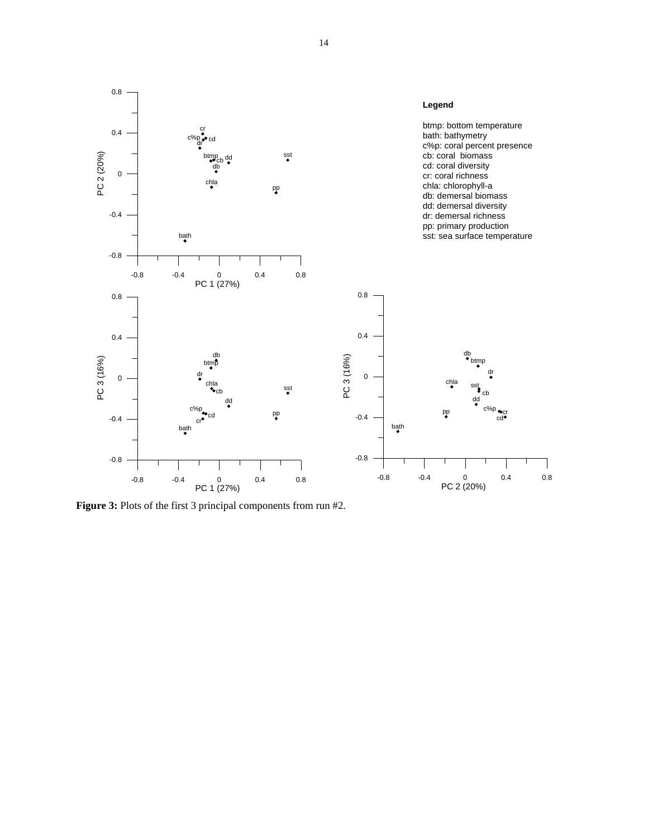

**Figure 3:** Plots of the first 3 principal components from run #2.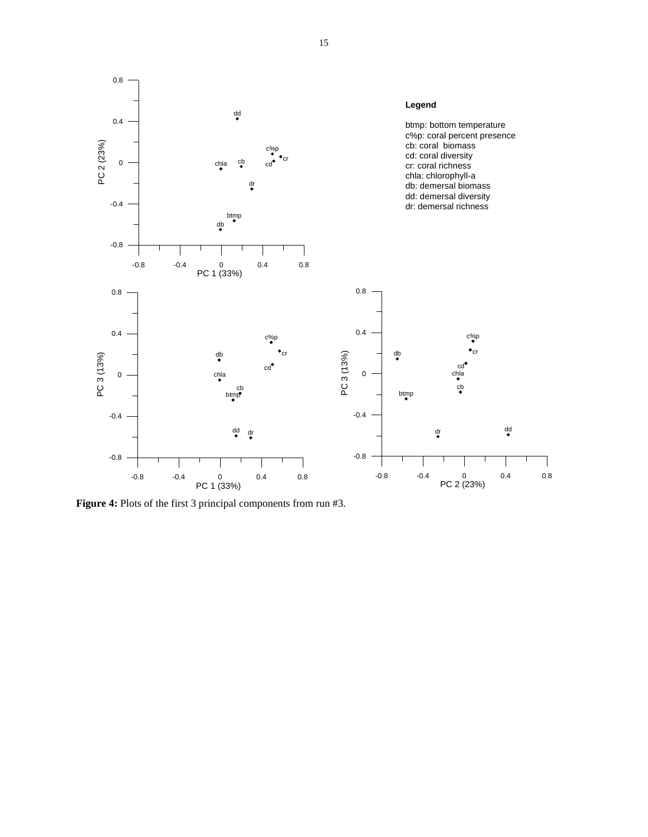

**Figure 4:** Plots of the first 3 principal components from run #3.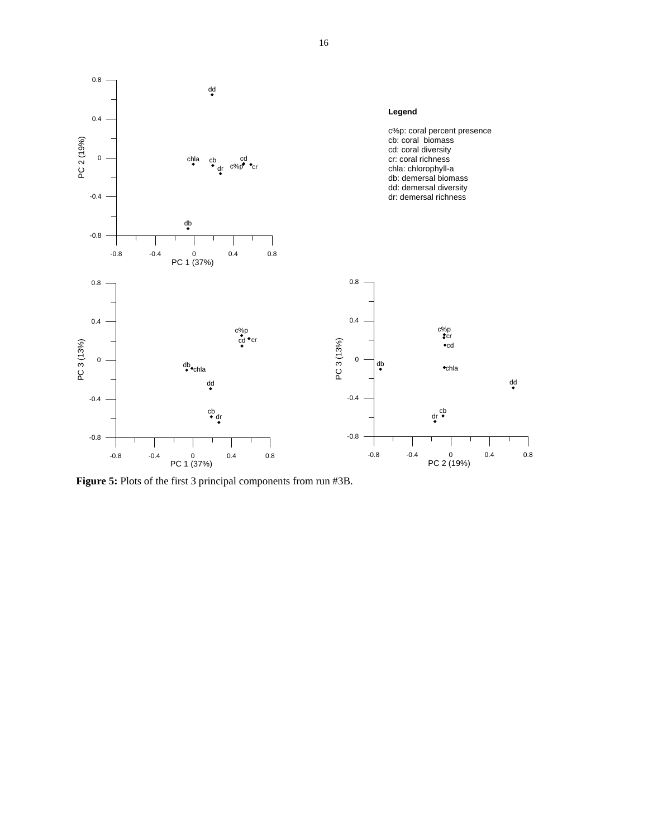

**Figure 5:** Plots of the first 3 principal components from run #3B.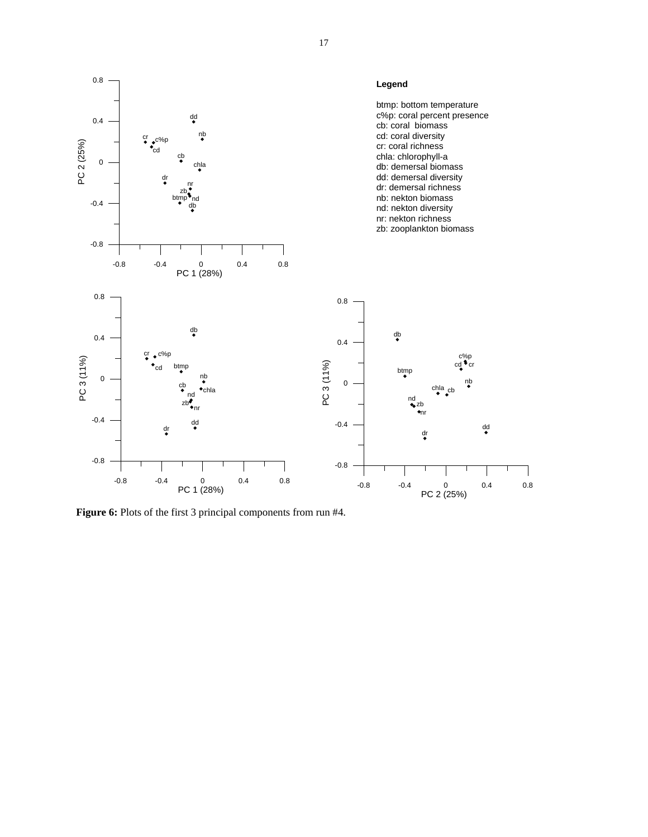

**Figure 6:** Plots of the first 3 principal components from run #4.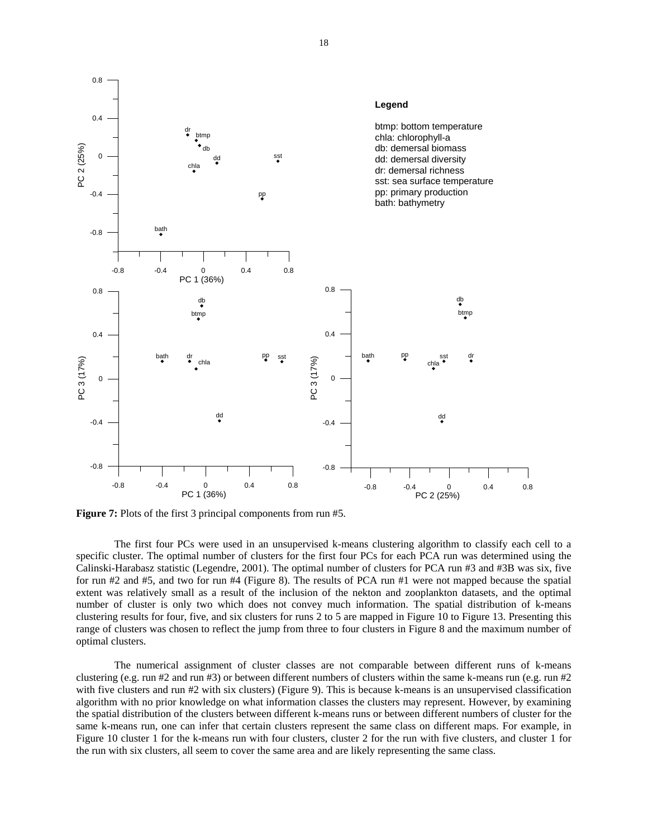

**Figure 7:** Plots of the first 3 principal components from run #5.

 The first four PCs were used in an unsupervised k-means clustering algorithm to classify each cell to a specific cluster. The optimal number of clusters for the first four PCs for each PCA run was determined using the Calinski-Harabasz statistic (Legendre, 2001). The optimal number of clusters for PCA run #3 and #3B was six, five for run #2 and #5, and two for run #4 (Figure 8). The results of PCA run #1 were not mapped because the spatial extent was relatively small as a result of the inclusion of the nekton and zooplankton datasets, and the optimal number of cluster is only two which does not convey much information. The spatial distribution of k-means clustering results for four, five, and six clusters for runs 2 to 5 are mapped in Figure 10 to Figure 13. Presenting this range of clusters was chosen to reflect the jump from three to four clusters in Figure 8 and the maximum number of optimal clusters.

The numerical assignment of cluster classes are not comparable between different runs of k-means clustering (e.g. run #2 and run #3) or between different numbers of clusters within the same k-means run (e.g. run #2) with five clusters and run #2 with six clusters) (Figure 9). This is because k-means is an unsupervised classification algorithm with no prior knowledge on what information classes the clusters may represent. However, by examining the spatial distribution of the clusters between different k-means runs or between different numbers of cluster for the same k-means run, one can infer that certain clusters represent the same class on different maps. For example, in Figure 10 cluster 1 for the k-means run with four clusters, cluster 2 for the run with five clusters, and cluster 1 for the run with six clusters, all seem to cover the same area and are likely representing the same class.

18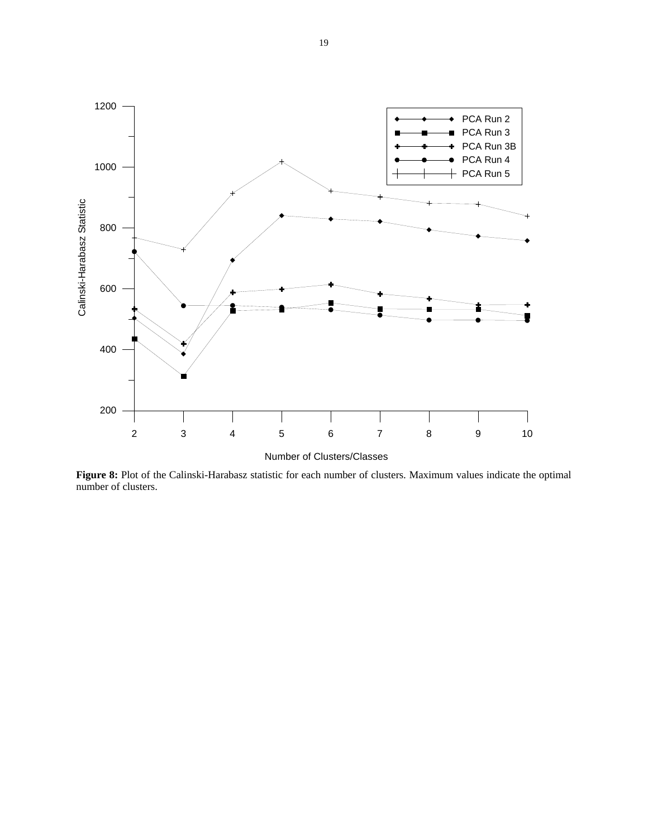

**Figure 8:** Plot of the Calinski-Harabasz statistic for each number of clusters. Maximum values indicate the optimal number of clusters.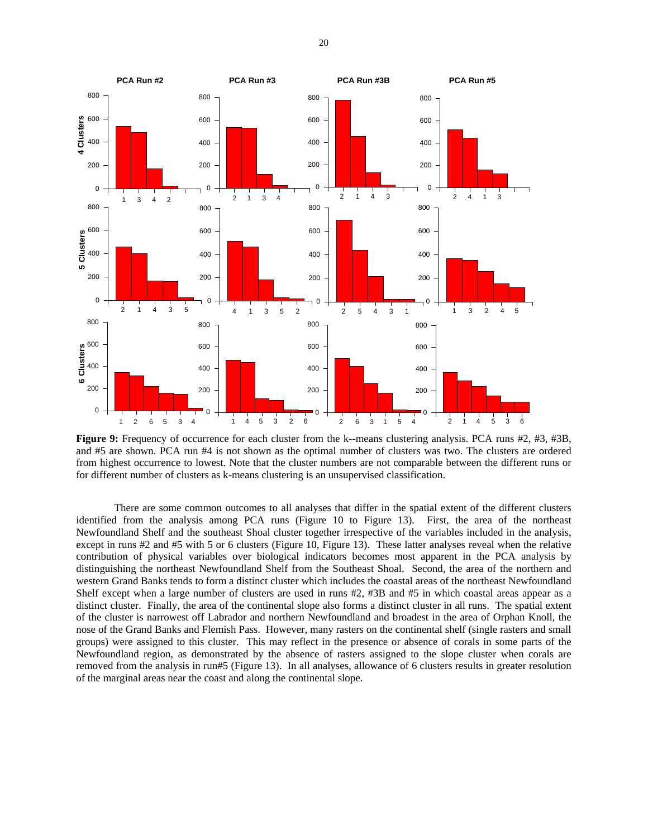

**Figure 9:** Frequency of occurrence for each cluster from the k--means clustering analysis. PCA runs #2, #3, #3B, and #5 are shown. PCA run #4 is not shown as the optimal number of clusters was two. The clusters are ordered from highest occurrence to lowest. Note that the cluster numbers are not comparable between the different runs or for different number of clusters as k-means clustering is an unsupervised classification.

 There are some common outcomes to all analyses that differ in the spatial extent of the different clusters identified from the analysis among PCA runs (Figure 10 to Figure 13). First, the area of the northeast Newfoundland Shelf and the southeast Shoal cluster together irrespective of the variables included in the analysis, except in runs #2 and #5 with 5 or 6 clusters (Figure 10, Figure 13). These latter analyses reveal when the relative contribution of physical variables over biological indicators becomes most apparent in the PCA analysis by distinguishing the northeast Newfoundland Shelf from the Southeast Shoal. Second, the area of the northern and western Grand Banks tends to form a distinct cluster which includes the coastal areas of the northeast Newfoundland Shelf except when a large number of clusters are used in runs #2, #3B and #5 in which coastal areas appear as a distinct cluster. Finally, the area of the continental slope also forms a distinct cluster in all runs. The spatial extent of the cluster is narrowest off Labrador and northern Newfoundland and broadest in the area of Orphan Knoll, the nose of the Grand Banks and Flemish Pass. However, many rasters on the continental shelf (single rasters and small groups) were assigned to this cluster. This may reflect in the presence or absence of corals in some parts of the Newfoundland region, as demonstrated by the absence of rasters assigned to the slope cluster when corals are removed from the analysis in run#5 (Figure 13). In all analyses, allowance of 6 clusters results in greater resolution of the marginal areas near the coast and along the continental slope.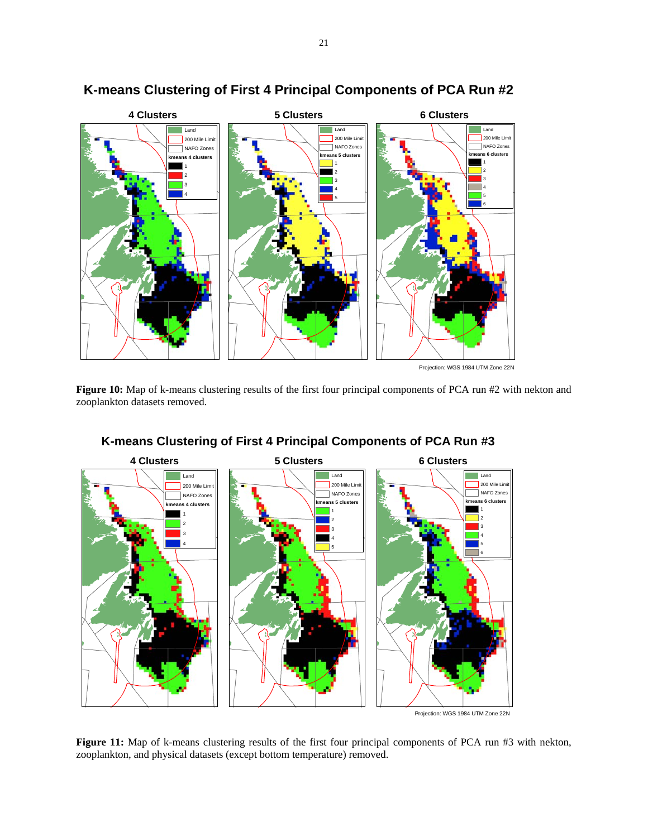![](_page_20_Figure_0.jpeg)

# **K-means Clustering of First 4 Principal Components of PCA Run #2**

Figure 10: Map of k-means clustering results of the first four principal components of PCA run #2 with nekton and zooplankton datasets removed.

![](_page_20_Figure_3.jpeg)

## **K-means Clustering of First 4 Principal Components of PCA Run #3**

Figure 11: Map of k-means clustering results of the first four principal components of PCA run #3 with nekton, zooplankton, and physical datasets (except bottom temperature) removed.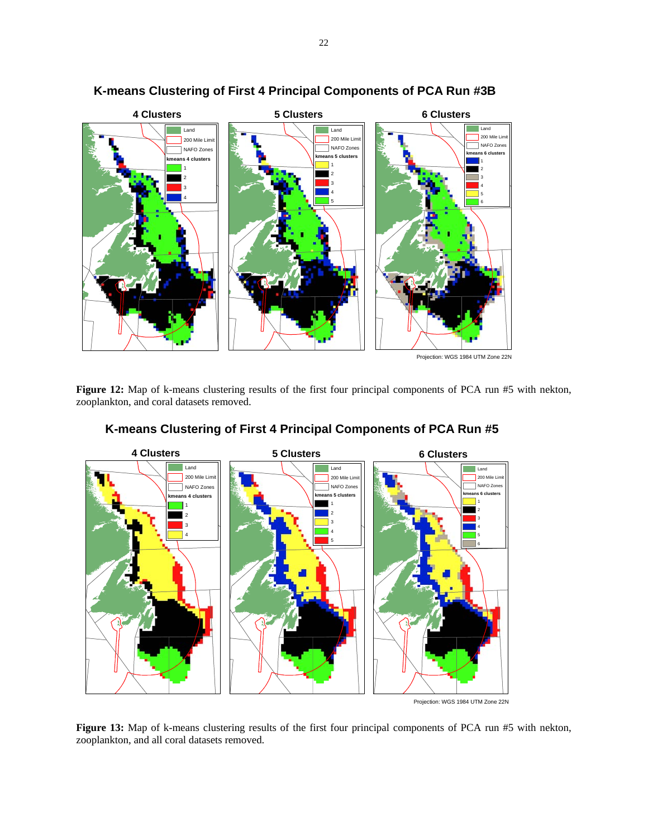![](_page_21_Figure_0.jpeg)

# **K-means Clustering of First 4 Principal Components of PCA Run #3B**

Figure 12: Map of k-means clustering results of the first four principal components of PCA run #5 with nekton, zooplankton, and coral datasets removed.

![](_page_21_Figure_3.jpeg)

## **K-means Clustering of First 4 Principal Components of PCA Run #5**

**Figure 13:** Map of k-means clustering results of the first four principal components of PCA run #5 with nekton, zooplankton, and all coral datasets removed.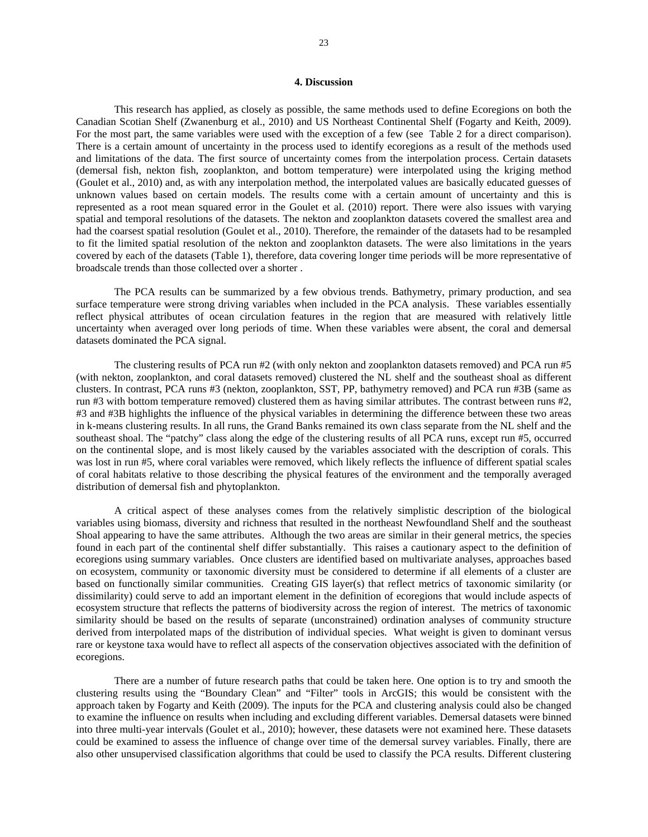### **4. Discussion**

 This research has applied, as closely as possible, the same methods used to define Ecoregions on both the Canadian Scotian Shelf (Zwanenburg et al., 2010) and US Northeast Continental Shelf (Fogarty and Keith, 2009). For the most part, the same variables were used with the exception of a few (see Table 2 for a direct comparison). There is a certain amount of uncertainty in the process used to identify ecoregions as a result of the methods used and limitations of the data. The first source of uncertainty comes from the interpolation process. Certain datasets (demersal fish, nekton fish, zooplankton, and bottom temperature) were interpolated using the kriging method (Goulet et al., 2010) and, as with any interpolation method, the interpolated values are basically educated guesses of unknown values based on certain models. The results come with a certain amount of uncertainty and this is represented as a root mean squared error in the Goulet et al. (2010) report. There were also issues with varying spatial and temporal resolutions of the datasets. The nekton and zooplankton datasets covered the smallest area and had the coarsest spatial resolution (Goulet et al., 2010). Therefore, the remainder of the datasets had to be resampled to fit the limited spatial resolution of the nekton and zooplankton datasets. The were also limitations in the years covered by each of the datasets (Table 1), therefore, data covering longer time periods will be more representative of broadscale trends than those collected over a shorter .

The PCA results can be summarized by a few obvious trends. Bathymetry, primary production, and sea surface temperature were strong driving variables when included in the PCA analysis. These variables essentially reflect physical attributes of ocean circulation features in the region that are measured with relatively little uncertainty when averaged over long periods of time. When these variables were absent, the coral and demersal datasets dominated the PCA signal.

The clustering results of PCA run #2 (with only nekton and zooplankton datasets removed) and PCA run #5 (with nekton, zooplankton, and coral datasets removed) clustered the NL shelf and the southeast shoal as different clusters. In contrast, PCA runs #3 (nekton, zooplankton, SST, PP, bathymetry removed) and PCA run #3B (same as run #3 with bottom temperature removed) clustered them as having similar attributes. The contrast between runs #2, #3 and #3B highlights the influence of the physical variables in determining the difference between these two areas in k-means clustering results. In all runs, the Grand Banks remained its own class separate from the NL shelf and the southeast shoal. The "patchy" class along the edge of the clustering results of all PCA runs, except run #5, occurred on the continental slope, and is most likely caused by the variables associated with the description of corals. This was lost in run #5, where coral variables were removed, which likely reflects the influence of different spatial scales of coral habitats relative to those describing the physical features of the environment and the temporally averaged distribution of demersal fish and phytoplankton.

A critical aspect of these analyses comes from the relatively simplistic description of the biological variables using biomass, diversity and richness that resulted in the northeast Newfoundland Shelf and the southeast Shoal appearing to have the same attributes. Although the two areas are similar in their general metrics, the species found in each part of the continental shelf differ substantially. This raises a cautionary aspect to the definition of ecoregions using summary variables. Once clusters are identified based on multivariate analyses, approaches based on ecosystem, community or taxonomic diversity must be considered to determine if all elements of a cluster are based on functionally similar communities. Creating GIS layer(s) that reflect metrics of taxonomic similarity (or dissimilarity) could serve to add an important element in the definition of ecoregions that would include aspects of ecosystem structure that reflects the patterns of biodiversity across the region of interest. The metrics of taxonomic similarity should be based on the results of separate (unconstrained) ordination analyses of community structure derived from interpolated maps of the distribution of individual species. What weight is given to dominant versus rare or keystone taxa would have to reflect all aspects of the conservation objectives associated with the definition of ecoregions.

There are a number of future research paths that could be taken here. One option is to try and smooth the clustering results using the "Boundary Clean" and "Filter" tools in ArcGIS; this would be consistent with the approach taken by Fogarty and Keith (2009). The inputs for the PCA and clustering analysis could also be changed to examine the influence on results when including and excluding different variables. Demersal datasets were binned into three multi-year intervals (Goulet et al., 2010); however, these datasets were not examined here. These datasets could be examined to assess the influence of change over time of the demersal survey variables. Finally, there are also other unsupervised classification algorithms that could be used to classify the PCA results. Different clustering